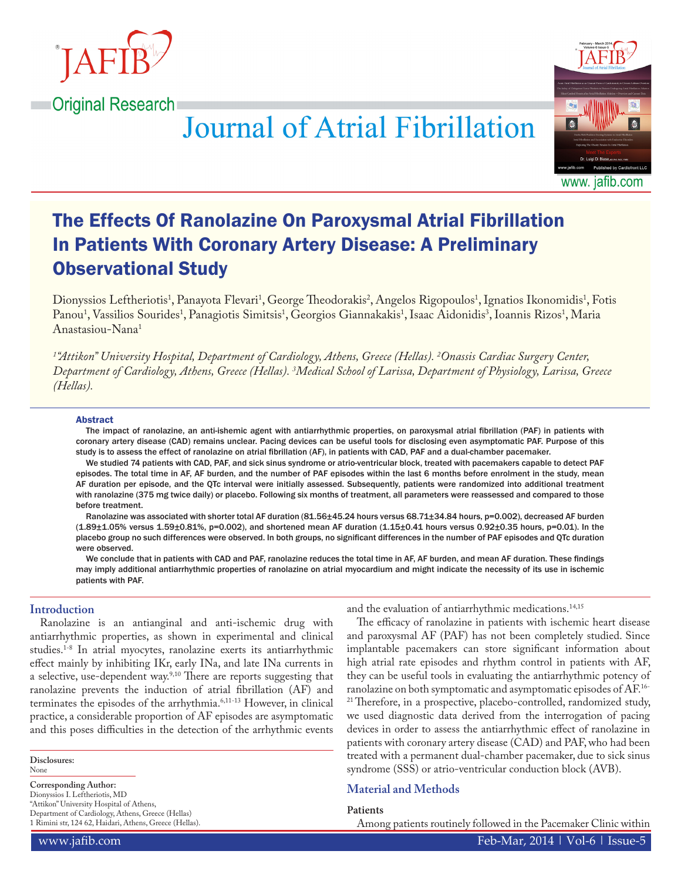

# **Journal of Atrial Fibrillation**



# The Effects Of Ranolazine On Paroxysmal Atrial Fibrillation In Patients With Coronary Artery Disease: A Preliminary Observational Study

Dionyssios Leftheriotis<sup>1</sup>, Panayota Flevari<sup>1</sup>, George Theodorakis<sup>2</sup>, Angelos Rigopoulos<sup>1</sup>, Ignatios Ikonomidis<sup>1</sup>, Fotis Panou<sup>1</sup>, Vassilios Sourides<sup>1</sup>, Panagiotis Simitsis<sup>1</sup>, Georgios Giannakakis<sup>1</sup>, Isaac Aidonidis<sup>3</sup>, Ioannis Rizos<sup>1</sup>, Maria Anastasiou-Nana1

*1 "Attikon" University Hospital, Department of Cardiology, Athens, Greece (Hellas). 2 Onassis Cardiac Surgery Center, Department of Cardiology, Athens, Greece (Hellas). 3 Medical School of Larissa, Department of Physiology, Larissa, Greece (Hellas).*

#### Abstract

The impact of ranolazine, an anti-ishemic agent with antiarrhythmic properties, on paroxysmal atrial fibrillation (PAF) in patients with coronary artery disease (CAD) remains unclear. Pacing devices can be useful tools for disclosing even asymptomatic PAF. Purpose of this study is to assess the effect of ranolazine on atrial fibrillation (AF), in patients with CAD, PAF and a dual-chamber pacemaker.

We studied 74 patients with CAD, PAF, and sick sinus syndrome or atrio-ventricular block, treated with pacemakers capable to detect PAF episodes. The total time in AF, AF burden, and the number of PAF episodes within the last 6 months before enrolment in the study, mean AF duration per episode, and the QTc interval were initially assessed. Subsequently, patients were randomized into additional treatment with ranolazine (375 mg twice daily) or placebo. Following six months of treatment, all parameters were reassessed and compared to those before treatment.

Ranolazine was associated with shorter total AF duration (81.56±45.24 hours versus 68.71±34.84 hours, p=0.002), decreased AF burden (1.89±1.05% versus 1.59±0.81%, p=0.002), and shortened mean AF duration (1.15±0.41 hours versus 0.92±0.35 hours, p=0.01). In the placebo group no such differences were observed. In both groups, no significant differences in the number of PAF episodes and QTc duration were observed.

We conclude that in patients with CAD and PAF, ranolazine reduces the total time in AF, AF burden, and mean AF duration. These findings may imply additional antiarrhythmic properties of ranolazine on atrial myocardium and might indicate the necessity of its use in ischemic patients with PAF.

# **Introduction**

Ranolazine is an antianginal and anti-ischemic drug with antiarrhythmic properties, as shown in experimental and clinical studies.1-8 In atrial myocytes, ranolazine exerts its antiarrhythmic effect mainly by inhibiting IKr, early INa, and late INa currents in a selective, use-dependent way.9,10 There are reports suggesting that ranolazine prevents the induction of atrial fibrillation (AF) and terminates the episodes of the arrhythmia.<sup>6,11-13</sup> However, in clinical practice, a considerable proportion of AF episodes are asymptomatic and this poses difficulties in the detection of the arrhythmic events

**Disclosures:** None

#### **Corresponding Author:**

Dionyssios I. Leftheriotis, MD "Attikon" University Hospital of Athens, Department of Cardiology, Athens, Greece (Hellas) 1 Rimini str, 124 62, Haidari, Athens, Greece (Hellas). and the evaluation of antiarrhythmic medications.<sup>14,15</sup>

The efficacy of ranolazine in patients with ischemic heart disease and paroxysmal AF (PAF) has not been completely studied. Since implantable pacemakers can store significant information about high atrial rate episodes and rhythm control in patients with AF, they can be useful tools in evaluating the antiarrhythmic potency of ranolazine on both symptomatic and asymptomatic episodes of AF.16- <sup>21</sup> Therefore, in a prospective, placebo-controlled, randomized study, we used diagnostic data derived from the interrogation of pacing devices in order to assess the antiarrhythmic effect of ranolazine in patients with coronary artery disease (CAD) and PAF, who had been treated with a permanent dual-chamber pacemaker, due to sick sinus syndrome (SSS) or atrio-ventricular conduction block (AVB).

# **Material and Methods**

#### **Patients**

Among patients routinely followed in the Pacemaker Clinic within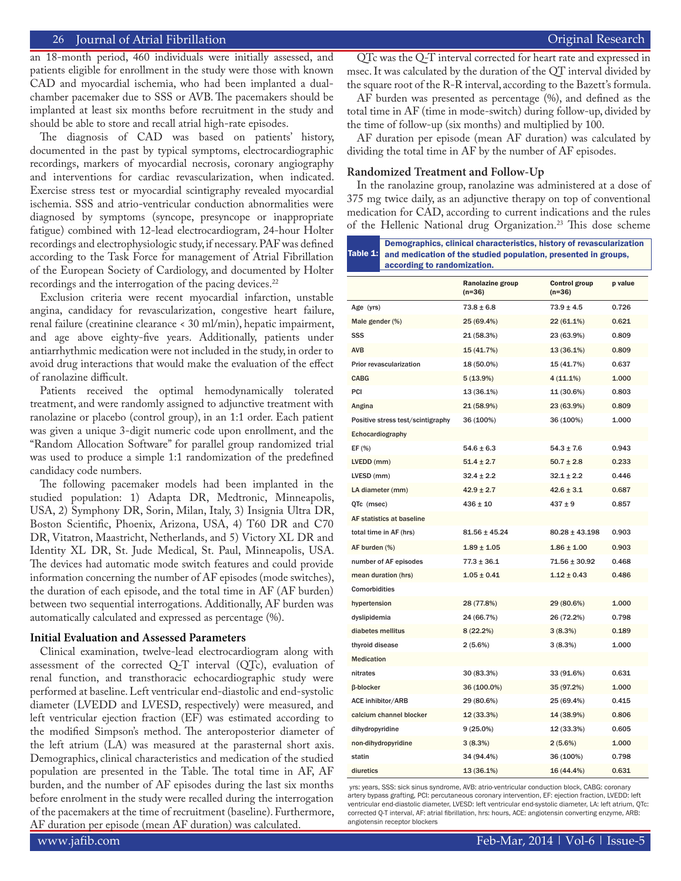an 18-month period, 460 individuals were initially assessed, and patients eligible for enrollment in the study were those with known CAD and myocardial ischemia, who had been implanted a dualchamber pacemaker due to SSS or AVB. The pacemakers should be implanted at least six months before recruitment in the study and should be able to store and recall atrial high-rate episodes.

The diagnosis of CAD was based on patients' history, documented in the past by typical symptoms, electrocardiographic recordings, markers of myocardial necrosis, coronary angiography and interventions for cardiac revascularization, when indicated. Exercise stress test or myocardial scintigraphy revealed myocardial ischemia. SSS and atrio-ventricular conduction abnormalities were diagnosed by symptoms (syncope, presyncope or inappropriate fatigue) combined with 12-lead electrocardiogram, 24-hour Holter recordings and electrophysiologic study, if necessary. PAF was defined according to the Task Force for management of Atrial Fibrillation of the European Society of Cardiology, and documented by Holter recordings and the interrogation of the pacing devices.<sup>22</sup>

Exclusion criteria were recent myocardial infarction, unstable angina, candidacy for revascularization, congestive heart failure, renal failure (creatinine clearance < 30 ml/min), hepatic impairment, and age above eighty-five years. Additionally, patients under antiarrhythmic medication were not included in the study, in order to avoid drug interactions that would make the evaluation of the effect of ranolazine difficult.

Patients received the optimal hemodynamically tolerated treatment, and were randomly assigned to adjunctive treatment with ranolazine or placebo (control group), in an 1:1 order. Each patient was given a unique 3-digit numeric code upon enrollment, and the "Random Allocation Software" for parallel group randomized trial was used to produce a simple 1:1 randomization of the predefined candidacy code numbers.

The following pacemaker models had been implanted in the studied population: 1) Adapta DR, Medtronic, Minneapolis, USA, 2) Symphony DR, Sorin, Milan, Italy, 3) Insignia Ultra DR, Boston Scientific, Phoenix, Arizona, USA, 4) T60 DR and C70 DR, Vitatron, Maastricht, Netherlands, and 5) Victory XL DR and Identity XL DR, St. Jude Medical, St. Paul, Minneapolis, USA. The devices had automatic mode switch features and could provide information concerning the number of AF episodes (mode switches), the duration of each episode, and the total time in AF (AF burden) between two sequential interrogations. Additionally, AF burden was automatically calculated and expressed as percentage (%).

#### **Initial Evaluation and Assessed Parameters**

Clinical examination, twelve-lead electrocardiogram along with assessment of the corrected Q-T interval (QTc), evaluation of renal function, and transthoracic echocardiographic study were performed at baseline. Left ventricular end-diastolic and end-systolic diameter (LVEDD and LVESD, respectively) were measured, and left ventricular ejection fraction (EF) was estimated according to the modified Simpson's method. The anteroposterior diameter of the left atrium (LA) was measured at the parasternal short axis. Demographics, clinical characteristics and medication of the studied population are presented in the Table. The total time in AF, AF burden, and the number of AF episodes during the last six months before enrolment in the study were recalled during the interrogation of the pacemakers at the time of recruitment (baseline). Furthermore, AF duration per episode (mean AF duration) was calculated.

QTc was the Q-T interval corrected for heart rate and expressed in msec. It was calculated by the duration of the QT interval divided by the square root of the R-R interval, according to the Bazett's formula.

AF burden was presented as percentage (%), and defined as the total time in AF (time in mode-switch) during follow-up, divided by the time of follow-up (six months) and multiplied by 100.

AF duration per episode (mean AF duration) was calculated by dividing the total time in AF by the number of AF episodes.

#### **Randomized Treatment and Follow-Up**

Demographics, clinical characteristics, history of revascularization

In the ranolazine group, ranolazine was administered at a dose of 375 mg twice daily, as an adjunctive therapy on top of conventional medication for CAD, according to current indications and the rules of the Hellenic National drug Organization.<sup>23</sup> This dose scheme

| Demographics, chincar characteristics, mstory of revascularization<br>Table 1:  <br>and medication of the studied population, presented in groups,<br>according to randomization. |                              |                           |         |  |
|-----------------------------------------------------------------------------------------------------------------------------------------------------------------------------------|------------------------------|---------------------------|---------|--|
|                                                                                                                                                                                   | Ranolazine group<br>$(n=36)$ | Control group<br>$(n=36)$ | p value |  |
| Age (yrs)                                                                                                                                                                         | $73.8 \pm 6.8$               | $73.9 \pm 4.5$            | 0.726   |  |
| Male gender (%)                                                                                                                                                                   | 25 (69.4%)                   | 22 (61.1%)                | 0.621   |  |
| SSS                                                                                                                                                                               | 21 (58.3%)                   | 23 (63.9%)                | 0.809   |  |
| <b>AVB</b>                                                                                                                                                                        | 15 (41.7%)                   | 13 (36.1%)                | 0.809   |  |
| Prior revascularization                                                                                                                                                           | 18 (50.0%)                   | 15 (41.7%)                | 0.637   |  |
| <b>CABG</b>                                                                                                                                                                       | 5(13.9%)                     | $4(11.1\%)$               | 1.000   |  |
| PCI                                                                                                                                                                               | 13 (36.1%)                   | 11 (30.6%)                | 0.803   |  |
| Angina                                                                                                                                                                            | 21 (58.9%)                   | 23 (63.9%)                | 0.809   |  |
| Positive stress test/scintigraphy                                                                                                                                                 | 36 (100%)                    | 36 (100%)                 | 1.000   |  |
| Echocardiography                                                                                                                                                                  |                              |                           |         |  |
| EF (%)                                                                                                                                                                            | $54.6 \pm 6.3$               | $54.3 \pm 7.6$            | 0.943   |  |
| LVEDD (mm)                                                                                                                                                                        | $51.4 \pm 2.7$               | $50.7 \pm 2.8$            | 0.233   |  |
| LVESD (mm)                                                                                                                                                                        | $32.4 \pm 2.2$               | $32.1 \pm 2.2$            | 0.446   |  |
| LA diameter (mm)                                                                                                                                                                  | $42.9 \pm 2.7$               | $42.6 \pm 3.1$            | 0.687   |  |
| QTc (msec)                                                                                                                                                                        | $436 \pm 10$                 | $437 \pm 9$               | 0.857   |  |
| AF statistics at baseline                                                                                                                                                         |                              |                           |         |  |
| total time in AF (hrs)                                                                                                                                                            | $81.56 \pm 45.24$            | $80.28 \pm 43.198$        | 0.903   |  |
| AF burden (%)                                                                                                                                                                     | $1.89 \pm 1.05$              | $1.86 \pm 1.00$           | 0.903   |  |
| number of AF episodes                                                                                                                                                             | $77.3 \pm 36.1$              | $71.56 \pm 30.92$         | 0.468   |  |
| mean duration (hrs)                                                                                                                                                               | $1.05 \pm 0.41$              | $1.12 \pm 0.43$           | 0.486   |  |
| Comorbidities                                                                                                                                                                     |                              |                           |         |  |
| hypertension                                                                                                                                                                      | 28 (77.8%)                   | 29 (80.6%)                | 1.000   |  |
| dyslipidemia                                                                                                                                                                      | 24 (66.7%)                   | 26 (72.2%)                | 0.798   |  |
| diabetes mellitus                                                                                                                                                                 | 8(22.2%)                     | 3(8.3%)                   | 0.189   |  |
| thyroid disease                                                                                                                                                                   | 2(5.6%)                      | 3(8.3%)                   | 1.000   |  |
| <b>Medication</b>                                                                                                                                                                 |                              |                           |         |  |
| nitrates                                                                                                                                                                          | 30 (83.3%)                   | 33 (91.6%)                | 0.631   |  |
| β-blocker                                                                                                                                                                         | 36 (100.0%)                  | 35 (97.2%)                | 1.000   |  |
| <b>ACE inhibitor/ARB</b>                                                                                                                                                          | 29 (80.6%)                   | 25 (69.4%)                | 0.415   |  |
| calcium channel blocker                                                                                                                                                           | 12 (33.3%)                   | 14 (38.9%)                | 0.806   |  |
| dihydropyridine                                                                                                                                                                   | $9(25.0\%)$                  | 12 (33.3%)                | 0.605   |  |
| non-dihydropyridine                                                                                                                                                               | 3(8.3%)                      | 2(5.6%)                   | 1.000   |  |
| statin                                                                                                                                                                            | 34 (94.4%)                   | 36 (100%)                 | 0.798   |  |
| diuretics                                                                                                                                                                         | 13 (36.1%)                   | 16 (44.4%)                | 0.631   |  |

 yrs: years, SSS: sick sinus syndrome, AVB: atrio-ventricular conduction block, CABG: coronary artery bypass grafting, PCI: percutaneous coronary intervention, EF: ejection fraction, LVEDD: left ventricular end-diastolic diameter, LVESD: left ventricular end-systolic diameter, LA: left atrium, QTc: corrected Q-T interval, AF: atrial fibrillation, hrs: hours, ACE: angiotensin converting enzyme, ARB: angiotensin receptor blockers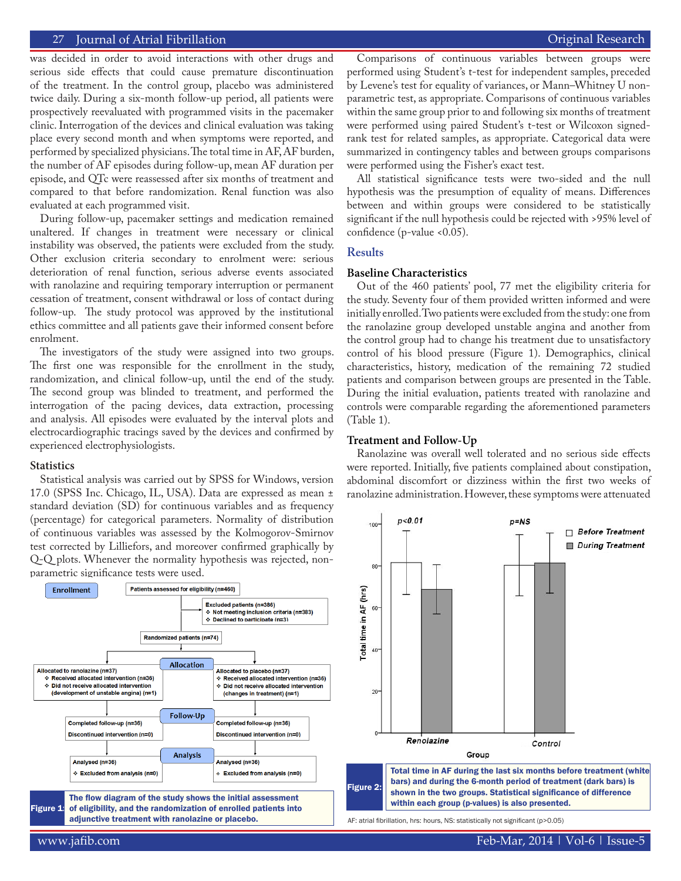was decided in order to avoid interactions with other drugs and serious side effects that could cause premature discontinuation of the treatment. In the control group, placebo was administered twice daily. During a six-month follow-up period, all patients were prospectively reevaluated with programmed visits in the pacemaker clinic. Interrogation of the devices and clinical evaluation was taking place every second month and when symptoms were reported, and performed by specialized physicians. The total time in AF, AF burden, the number of AF episodes during follow-up, mean AF duration per episode, and QTc were reassessed after six months of treatment and compared to that before randomization. Renal function was also evaluated at each programmed visit.

During follow-up, pacemaker settings and medication remained unaltered. If changes in treatment were necessary or clinical instability was observed, the patients were excluded from the study. Other exclusion criteria secondary to enrolment were: serious deterioration of renal function, serious adverse events associated with ranolazine and requiring temporary interruption or permanent cessation of treatment, consent withdrawal or loss of contact during follow-up. The study protocol was approved by the institutional ethics committee and all patients gave their informed consent before enrolment.

The investigators of the study were assigned into two groups. The first one was responsible for the enrollment in the study, randomization, and clinical follow-up, until the end of the study. The second group was blinded to treatment, and performed the interrogation of the pacing devices, data extraction, processing and analysis. All episodes were evaluated by the interval plots and electrocardiographic tracings saved by the devices and confirmed by experienced electrophysiologists.

#### **Statistics**

Statistical analysis was carried out by SPSS for Windows, version 17.0 (SPSS Inc. Chicago, IL, USA). Data are expressed as mean ± standard deviation (SD) for continuous variables and as frequency (percentage) for categorical parameters. Normality of distribution of continuous variables was assessed by the Kolmogorov-Smirnov test corrected by Lilliefors, and moreover confirmed graphically by Q-Q plots. Whenever the normality hypothesis was rejected, nonparametric significance tests were used.



Comparisons of continuous variables between groups were performed using Student's t-test for independent samples, preceded by Levene's test for equality of variances, or Mann–Whitney U nonparametric test, as appropriate. Comparisons of continuous variables within the same group prior to and following six months of treatment were performed using paired Student's t-test or Wilcoxon signedrank test for related samples, as appropriate. Categorical data were summarized in contingency tables and between groups comparisons were performed using the Fisher's exact test.

All statistical significance tests were two-sided and the null hypothesis was the presumption of equality of means. Differences between and within groups were considered to be statistically significant if the null hypothesis could be rejected with >95% level of confidence (p-value <0.05).

# **Results**

#### **Baseline Characteristics**

Out of the 460 patients' pool, 77 met the eligibility criteria for the study. Seventy four of them provided written informed and were initially enrolled. Two patients were excluded from the study: one from the ranolazine group developed unstable angina and another from the control group had to change his treatment due to unsatisfactory control of his blood pressure (Figure 1). Demographics, clinical characteristics, history, medication of the remaining 72 studied patients and comparison between groups are presented in the Table. During the initial evaluation, patients treated with ranolazine and controls were comparable regarding the aforementioned parameters (Table 1).

# **Treatment and Follow-Up**

Ranolazine was overall well tolerated and no serious side effects were reported. Initially, five patients complained about constipation, abdominal discomfort or dizziness within the first two weeks of ranolazine administration. However, these symptoms were attenuated



AF: atrial fibrillation, hrs: hours, NS: statistically not significant (p>0.05)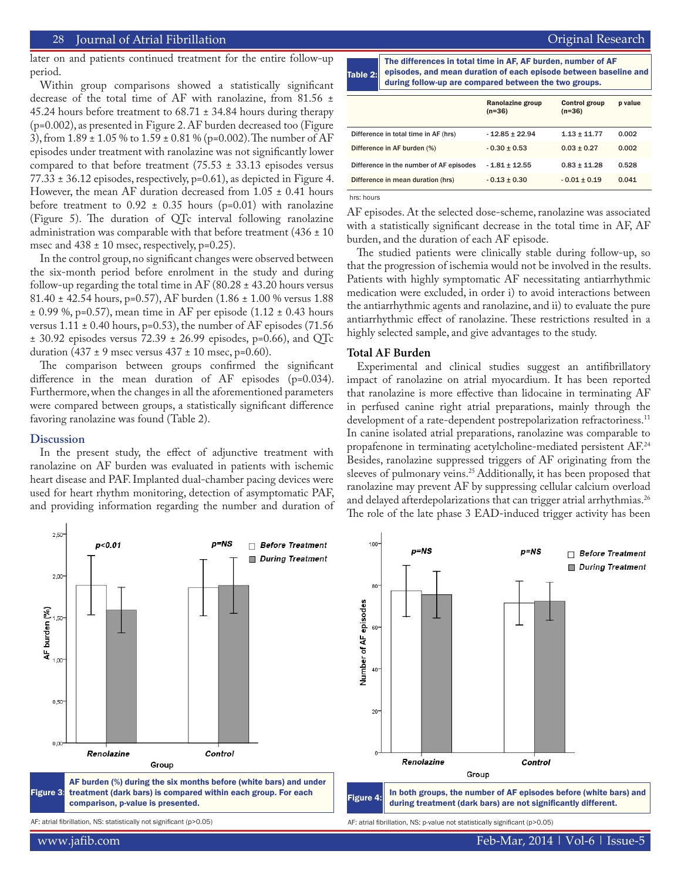later on and patients continued treatment for the entire follow-up period.

Within group comparisons showed a statistically significant decrease of the total time of AF with ranolazine, from 81.56 ± 45.24 hours before treatment to 68.71 ± 34.84 hours during therapy (p=0.002), as presented in Figure 2. AF burden decreased too (Figure 3), from 1.89 ± 1.05 % to 1.59 ± 0.81 % (p=0.002). The number of AF episodes under treatment with ranolazine was not significantly lower compared to that before treatment (75.53  $\pm$  33.13 episodes versus  $77.33 \pm 36.12$  episodes, respectively, p=0.61), as depicted in Figure 4. However, the mean AF duration decreased from 1.05 ± 0.41 hours before treatment to  $0.92 \pm 0.35$  hours (p=0.01) with ranolazine (Figure 5). The duration of QTc interval following ranolazine administration was comparable with that before treatment (436  $\pm$  10 msec and  $438 \pm 10$  msec, respectively, p=0.25).

In the control group, no significant changes were observed between the six-month period before enrolment in the study and during follow-up regarding the total time in AF (80.28  $\pm$  43.20 hours versus 81.40 ± 42.54 hours, p=0.57), AF burden (1.86 ± 1.00 % versus 1.88  $\pm$  0.99 %, p=0.57), mean time in AF per episode (1.12  $\pm$  0.43 hours versus  $1.11 \pm 0.40$  hours, p=0.53), the number of AF episodes (71.56)  $\pm$  30.92 episodes versus 72.39  $\pm$  26.99 episodes, p=0.66), and QTc duration  $(437 \pm 9$  msec versus  $437 \pm 10$  msec, p=0.60).

The comparison between groups confirmed the significant difference in the mean duration of AF episodes (p=0.034). Furthermore, when the changes in all the aforementioned parameters were compared between groups, a statistically significant difference favoring ranolazine was found (Table 2).

#### **Discussion**

In the present study, the effect of adjunctive treatment with ranolazine on AF burden was evaluated in patients with ischemic heart disease and PAF. Implanted dual-chamber pacing devices were used for heart rhythm monitoring, detection of asymptomatic PAF, and providing information regarding the number and duration of Table 2: The differences in total time in AF, AF burden, number of AF episodes, and mean duration of each episode between baseline and during follow-up are compared between the two groups.

|                                         | <b>Ranolazine group</b><br>$(n=36)$ | <b>Control group</b><br>$(n=36)$ | p value |
|-----------------------------------------|-------------------------------------|----------------------------------|---------|
| Difference in total time in AF (hrs)    | $-12.85 \pm 22.94$                  | $1.13 + 11.77$                   | 0.002   |
| Difference in AF burden (%)             | $-0.30 \pm 0.53$                    | $0.03 \pm 0.27$                  | 0.002   |
| Difference in the number of AF episodes | $-1.81 \pm 12.55$                   | $0.83 \pm 11.28$                 | 0.528   |
| Difference in mean duration (hrs)       | $-0.13 \pm 0.30$                    | $-0.01 \pm 0.19$                 | 0.041   |

hrs: hours

AF episodes. At the selected dose-scheme, ranolazine was associated with a statistically significant decrease in the total time in AF, AF burden, and the duration of each AF episode.

The studied patients were clinically stable during follow-up, so that the progression of ischemia would not be involved in the results. Patients with highly symptomatic AF necessitating antiarrhythmic medication were excluded, in order i) to avoid interactions between the antiarrhythmic agents and ranolazine, and ii) to evaluate the pure antiarrhythmic effect of ranolazine. These restrictions resulted in a highly selected sample, and give advantages to the study.

#### **Total AF Burden**

Experimental and clinical studies suggest an antifibrillatory impact of ranolazine on atrial myocardium. It has been reported that ranolazine is more effective than lidocaine in terminating AF in perfused canine right atrial preparations, mainly through the development of a rate-dependent postrepolarization refractoriness.<sup>11</sup> In canine isolated atrial preparations, ranolazine was comparable to propafenone in terminating acetylcholine-mediated persistent AF.<sup>24</sup> Besides, ranolazine suppressed triggers of AF originating from the sleeves of pulmonary veins.<sup>25</sup> Additionally, it has been proposed that ranolazine may prevent AF by suppressing cellular calcium overload and delayed afterdepolarizations that can trigger atrial arrhythmias.<sup>26</sup> The role of the late phase 3 EAD-induced trigger activity has been

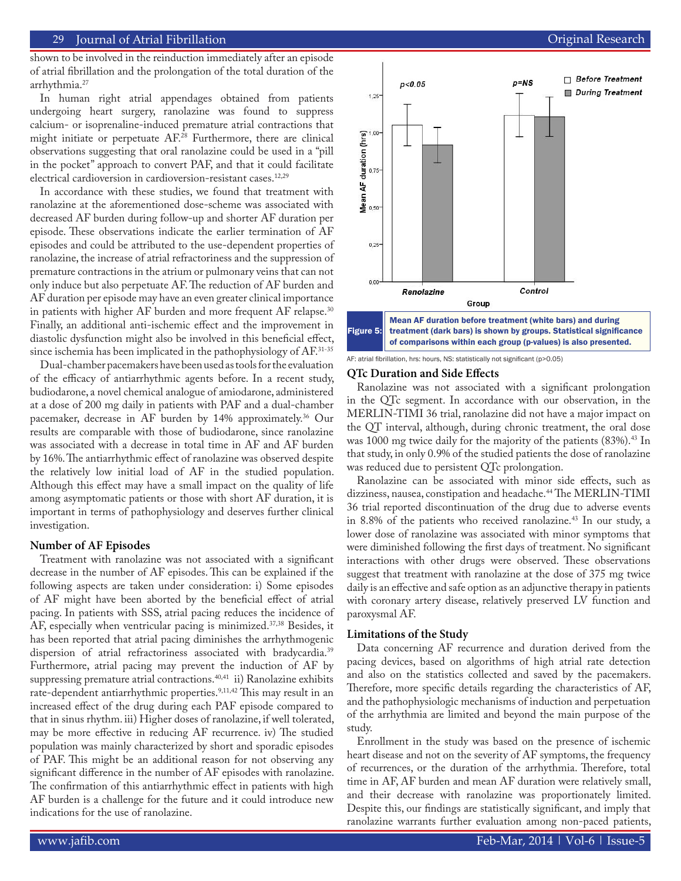shown to be involved in the reinduction immediately after an episode of atrial fibrillation and the prolongation of the total duration of the arrhythmia.<sup>27</sup>

In human right atrial appendages obtained from patients undergoing heart surgery, ranolazine was found to suppress calcium- or isoprenaline-induced premature atrial contractions that might initiate or perpetuate AF.28 Furthermore, there are clinical observations suggesting that oral ranolazine could be used in a "pill in the pocket" approach to convert PAF, and that it could facilitate electrical cardioversion in cardioversion-resistant cases.<sup>12,29</sup>

In accordance with these studies, we found that treatment with ranolazine at the aforementioned dose-scheme was associated with decreased AF burden during follow-up and shorter AF duration per episode. These observations indicate the earlier termination of AF episodes and could be attributed to the use-dependent properties of ranolazine, the increase of atrial refractoriness and the suppression of premature contractions in the atrium or pulmonary veins that can not only induce but also perpetuate AF. The reduction of AF burden and AF duration per episode may have an even greater clinical importance in patients with higher AF burden and more frequent AF relapse.<sup>30</sup> Finally, an additional anti-ischemic effect and the improvement in diastolic dysfunction might also be involved in this beneficial effect, since ischemia has been implicated in the pathophysiology of AF.31-35

Dual-chamber pacemakers have been used as tools for the evaluation of the efficacy of antiarrhythmic agents before. In a recent study, budiodarone, a novel chemical analogue of amiodarone, administered at a dose of 200 mg daily in patients with PAF and a dual-chamber pacemaker, decrease in AF burden by 14% approximately.<sup>36</sup> Our results are comparable with those of budiodarone, since ranolazine was associated with a decrease in total time in AF and AF burden by 16%. The antiarrhythmic effect of ranolazine was observed despite the relatively low initial load of AF in the studied population. Although this effect may have a small impact on the quality of life among asymptomatic patients or those with short AF duration, it is important in terms of pathophysiology and deserves further clinical investigation.

#### **Number of AF Episodes**

Treatment with ranolazine was not associated with a significant decrease in the number of AF episodes. This can be explained if the following aspects are taken under consideration: i) Some episodes of AF might have been aborted by the beneficial effect of atrial pacing. In patients with SSS, atrial pacing reduces the incidence of AF, especially when ventricular pacing is minimized.<sup>37,38</sup> Besides, it has been reported that atrial pacing diminishes the arrhythmogenic dispersion of atrial refractoriness associated with bradycardia.39 Furthermore, atrial pacing may prevent the induction of AF by suppressing premature atrial contractions.<sup>40,41</sup> ii) Ranolazine exhibits rate-dependent antiarrhythmic properties.<sup>9,11,42</sup> This may result in an increased effect of the drug during each PAF episode compared to that in sinus rhythm. iii) Higher doses of ranolazine, if well tolerated, may be more effective in reducing AF recurrence. iv) The studied population was mainly characterized by short and sporadic episodes of PAF. This might be an additional reason for not observing any significant difference in the number of AF episodes with ranolazine. The confirmation of this antiarrhythmic effect in patients with high AF burden is a challenge for the future and it could introduce new indications for the use of ranolazine.



AF: atrial fibrillation, hrs: hours, NS: statistically not significant (p>0.05)

# **QTc Duration and Side Effects**

Ranolazine was not associated with a significant prolongation in the QTc segment. In accordance with our observation, in the MERLIN-TIMI 36 trial, ranolazine did not have a major impact on the QT interval, although, during chronic treatment, the oral dose was 1000 mg twice daily for the majority of the patients (83%).<sup>43</sup> In that study, in only 0.9% of the studied patients the dose of ranolazine was reduced due to persistent QTc prolongation.

Ranolazine can be associated with minor side effects, such as dizziness, nausea, constipation and headache.<sup>44</sup> The MERLIN-TIMI 36 trial reported discontinuation of the drug due to adverse events in 8.8% of the patients who received ranolazine.<sup>43</sup> In our study, a lower dose of ranolazine was associated with minor symptoms that were diminished following the first days of treatment. No significant interactions with other drugs were observed. These observations suggest that treatment with ranolazine at the dose of 375 mg twice daily is an effective and safe option as an adjunctive therapy in patients with coronary artery disease, relatively preserved LV function and paroxysmal AF.

# **Limitations of the Study**

Data concerning AF recurrence and duration derived from the pacing devices, based on algorithms of high atrial rate detection and also on the statistics collected and saved by the pacemakers. Therefore, more specific details regarding the characteristics of AF, and the pathophysiologic mechanisms of induction and perpetuation of the arrhythmia are limited and beyond the main purpose of the study.

Enrollment in the study was based on the presence of ischemic heart disease and not on the severity of AF symptoms, the frequency of recurrences, or the duration of the arrhythmia. Therefore, total time in AF, AF burden and mean AF duration were relatively small, and their decrease with ranolazine was proportionately limited. Despite this, our findings are statistically significant, and imply that ranolazine warrants further evaluation among non-paced patients,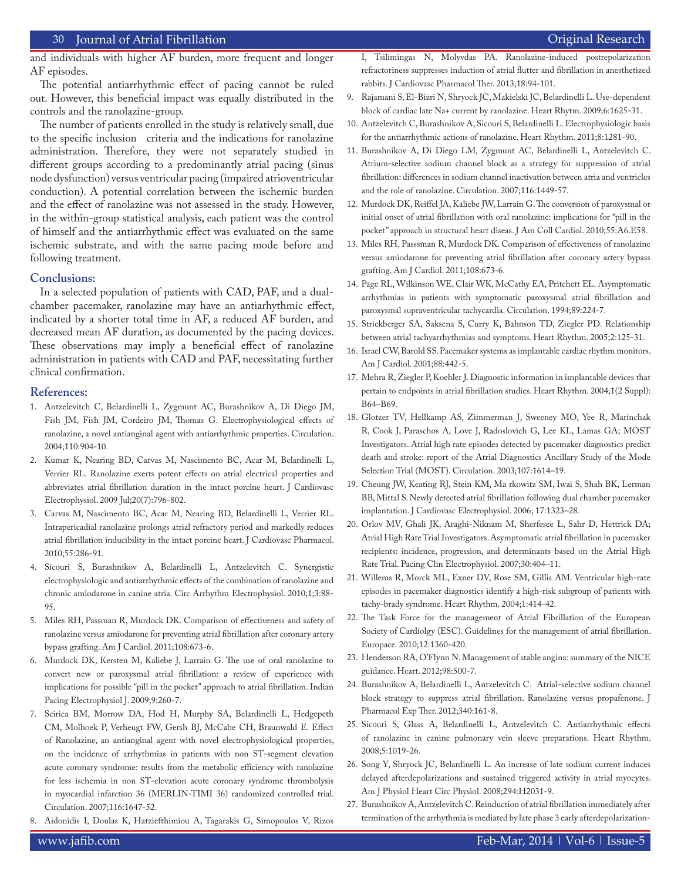and individuals with higher AF burden, more frequent and longer AF episodes.

The potential antiarrhythmic effect of pacing cannot be ruled out. However, this beneficial impact was equally distributed in the controls and the ranolazine-group.

The number of patients enrolled in the study is relatively small, due to the specific inclusion criteria and the indications for ranolazine administration. Therefore, they were not separately studied in different groups according to a predominantly atrial pacing (sinus node dysfunction) versus ventricular pacing (impaired atrioventricular conduction). A potential correlation between the ischemic burden and the effect of ranolazine was not assessed in the study. However, in the within-group statistical analysis, each patient was the control of himself and the antiarrhythmic effect was evaluated on the same ischemic substrate, and with the same pacing mode before and following treatment.

#### **Conclusions:**

In a selected population of patients with CAD, PAF, and a dualchamber pacemaker, ranolazine may have an antiarhythmic effect, indicated by a shorter total time in AF, a reduced AF burden, and decreased mean AF duration, as documented by the pacing devices. These observations may imply a beneficial effect of ranolazine administration in patients with CAD and PAF, necessitating further clinical confirmation.

#### **References:**

- 1. Antzelevitch C, Belardinelli L, Zygmunt AC, Burashnikov A, Di Diego JM, Fish JM, Fish JM, Cordeiro JM, Thomas G. Electrophysiological effects of ranolazine, a novel antianginal agent with antiarrhythmic properties. Circulation. 2004;110:904-10.
- 2. Kumar K, Nearing BD, Carvas M, Nascimento BC, Acar M, Belardinelli L, Verrier RL. Ranolazine exerts potent effects on atrial electrical properties and abbreviates atrial fibrillation duration in the intact porcine heart. J Cardiovasc Electrophysiol. 2009 Jul;20(7):796-802.
- 3. Carvas M, Nascimento BC, Acar M, Nearing BD, Belardinelli L, Verrier RL. Intrapericadial ranolazine prolongs atrial refractory period and markedly reduces atrial fibrillation inducibility in the intact porcine heart. J Cardiovasc Pharmacol. 2010;55:286-91.
- 4. Sicouri S, Burashnikov A, Belardinelli L, Antzelevitch C. Synergistic electrophysiologic and antiarrhythmic effects of the combination of ranolazine and chronic amiodarone in canine atria. Circ Arrhythm Electrophysiol. 2010;1;3:88- 95.
- 5. Miles RH, Passman R, Murdock DK. Comparison of effectiveness and safety of ranolazine versus amiodarone for preventing atrial fibrillation after coronary artery bypass grafting. Am J Cardiol. 2011;108:673-6.
- 6. Murdock DK, Kersten M, Kaliebe J, Larrain G. The use of oral ranolazine to convert new or paroxysmal atrial fibrillation: a review of experience with implications for possible "pill in the pocket" approach to atrial fibrillation. Indian Pacing Electrophysiol J. 2009;9:260-7.
- 7. Scirica BM, Morrow DA, Hod H, Murphy SA, Belardinelli L, Hedgepeth CM, Molhoek P, Verheugt FW, Gersh BJ, McCabe CH, Braunwald E. Effect of Ranolazine, an antianginal agent with novel electrophysiological properties, on the incidence of arrhythmias in patients with non ST-segment elevation acute coronary syndrome: results from the metabolic efficiency with ranolazine for less ischemia in non ST-elevation acute coronary syndrome thrombolysis in myocardial infarction 36 (MERLIN-TIMI 36) randomized controlled trial. Circulation. 2007;116:1647-52.
- 8. Aidonidis I, Doulas K, Hatziefthimiou A, Tagarakis G, Simopoulos V, Rizos

I, Tsilimingas N, Molyvdas PA. Ranolazine-induced postrepolarization refractoriness suppresses induction of atrial flutter and fibrillation in anesthetized rabbits. J Cardiovasc Pharmacol Ther. 2013;18:94-101.

- 9. Rajamani S, El-Bizri N, Shryock JC, Makielski JC, Belardinelli L. Use-dependent block of cardiac late Na+ current by ranolazine. Heart Rhytm. 2009;6:1625-31.
- 10. Antzelevitch C, Burashnikov A, Sicouri S, Belardinelli L. Electrophysiologic basis for the antiarrhythmic actions of ranolazine. Heart Rhythm. 2011;8:1281-90.
- 11. Burashnikov A, Di Diego LM, Zygmunt AC, Belardinelli L, Antzelevitch C. Atrium-selective sodium channel block as a strategy for suppression of atrial fibrillation: differences in sodium channel inactivation between atria and ventricles and the role of ranolazine. Circulation. 2007;116:1449-57.
- 12. Murdock DK, Reiffel JA, Kaliebe JW, Larrain G. The conversion of paroxysmal or initial onset of atrial fibrillation with oral ranolazine: implications for "pill in the pocket" approach in structural heart diseas. J Am Coll Cardiol. 2010;55:A6.E58.
- 13. Miles RH, Passsman R, Murdock DK. Comparison of effectiveness of ranolazine versus amiodarone for preventing atrial fibrillation after coronary artery bypass grafting. Am J Cardiol. 2011;108:673-6.
- 14. Page RL, Wilkinson WE, Clair WK, McCathy EA, Pritchett EL. Asymptomatic arrhythmias in patients with symptomatic paroxysmal atrial fibrillation and paroxysmal supraventricular tachycardia. Circulation. 1994;89:224-7.
- 15. Strickberger SA, Saksena S, Curry K, Bahnson TD, Ziegler PD. Relationship between atrial tachyarrhythmias and symptoms. Heart Rhythm. 2005;2:125-31.
- 16. Israel CW, Barold SS. Pacemaker systems as implantable cardiac rhythm monitors. Am J Cardiol. 2001;88:442-5.
- 17. Mehra R, Ziegler P, Koehler J. Diagnostic information in implantable devices that pertain to endpoints in atrial fibrillation studies. Heart Rhythm. 2004;1(2 Suppl): B64–B69.
- 18. Glotzer TV, Hellkamp AS, Zimmerman J, Sweeney MO, Yee R, Marinchak R, Cook J, Paraschos A, Love J, Radoslovich G, Lee KL, Lamas GA; MOST Investigators. Atrial high rate episodes detected by pacemaker diagnostics predict death and stroke: report of the Atrial Diagnostics Ancillary Study of the Mode Selection Trial (MOST). Circulation. 2003;107:1614–19.
- 19. Cheung JW, Keating RJ, Stein KM, Ma rkowitz SM, Iwai S, Shah BK, Lerman BB, Mittal S. Newly detected atrial fibrillation following dual chamber pacemaker implantation. J Cardiovasc Electrophysiol. 2006; 17:1323–28.
- 20. Orlov MV, Ghali JK, Araghi-Niknam M, Sherfesee L, Sahr D, Hettrick DA; Atrial High Rate Trial Investigators. Asymptomatic atrial fibrillation in pacemaker recipients: incidence, progression, and determinants based on the Atrial High Rate Trial. Pacing Clin Electrophysiol. 2007;30:404–11.
- 21. Willems R, Morck ML, Exner DV, Rose SM, Gillis AM. Ventricular high-rate episodes in pacemaker diagnostics identify a high-risk subgroup of patients with tachy-brady syndrome. Heart Rhythm. 2004;1:414-42.
- 22. The Task Force for the management of Atrial Fibrillation of the European Society of Cardiolgy (ESC). Guidelines for the management of atrial fibrillation. Europace. 2010;12:1360-420.
- 23. Henderson RA, O'Flynn N. Management of stable angina: summary of the NICE guidance. Heart. 2012;98:500-7.
- 24. Burashnikov A, Belardinelli L, Antzelevitch C. Atrial-selective sodium channel block strategy to suppress atrial fibrillation. Ranolazine versus propafenone. J Pharmacol Exp Ther. 2012;340:161-8.
- 25. Sicouri S, Glass A, Belardinelli L, Antzelevitch C. Antiarrhythmic effects of ranolazine in canine pulmonary vein sleeve preparations. Heart Rhythm. 2008;5:1019-26.
- 26. Song Y, Shryock JC, Belardinelli L. An increase of late sodium current induces delayed afterdepolarizations and sustained triggered activity in atrial myocytes. Am J Physiol Heart Circ Physiol. 2008;294:H2031-9.
- 27. Burashnikov A, Antzelevitch C. Reinduction of atrial fibrillation immediately after termination of the arrhythmia is mediated by late phase 3 early afterdepolarization-